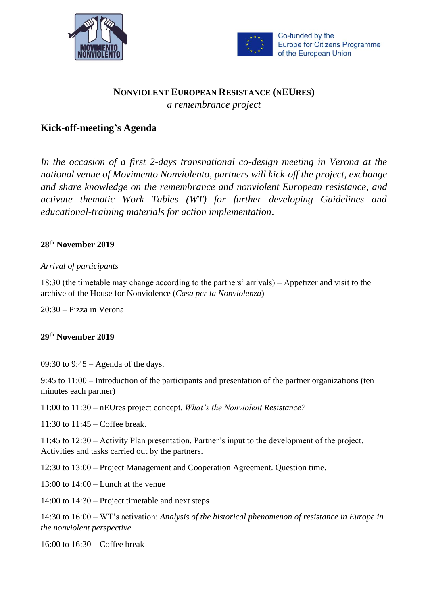



Co-funded by the **Europe for Citizens Programme** of the European Union

# **NONVIOLENT EUROPEAN RESISTANCE (NEURES)** *a remembrance project*

## **Kick-off-meeting's Agenda**

*In the occasion of a first 2-days transnational co-design meeting in Verona at the national venue of Movimento Nonviolento, partners will kick-off the project, exchange and share knowledge on the remembrance and nonviolent European resistance, and activate thematic Work Tables (WT) for further developing Guidelines and educational-training materials for action implementation*.

### **28th November 2019**

### *Arrival of participants*

18:30 (the timetable may change according to the partners' arrivals) – Appetizer and visit to the archive of the House for Nonviolence (*Casa per la Nonviolenza*)

20:30 – Pizza in Verona

#### **29th November 2019**

09:30 to 9:45 – Agenda of the days.

9:45 to 11:00 – Introduction of the participants and presentation of the partner organizations (ten minutes each partner)

11:00 to 11:30 – nEUres project concept. *What's the Nonviolent Resistance?*

11:30 to 11:45 – Coffee break.

11:45 to 12:30 – Activity Plan presentation. Partner's input to the development of the project. Activities and tasks carried out by the partners.

12:30 to 13:00 – Project Management and Cooperation Agreement. Question time.

13:00 to  $14:00 -$  Lunch at the venue

14:00 to 14:30 – Project timetable and next steps

14:30 to 16:00 – WT's activation: *Analysis of the historical phenomenon of resistance in Europe in the nonviolent perspective*

16:00 to 16:30 – Coffee break